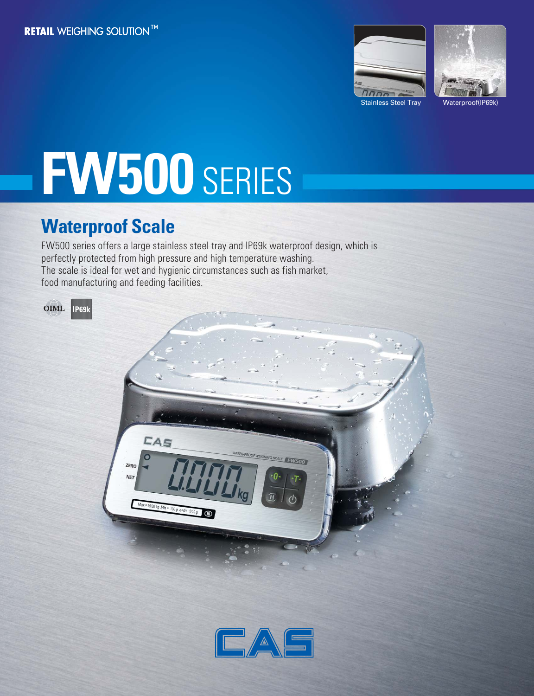



# **FW500** SERIES

# **Waterproof Scale**

FW500 series offers a large stainless steel tray and IP69k waterproof design, which is perfectly protected from high pressure and high temperature washing. The scale is ideal for wet and hygienic circumstances such as fish market, food manufacturing and feeding facilities.